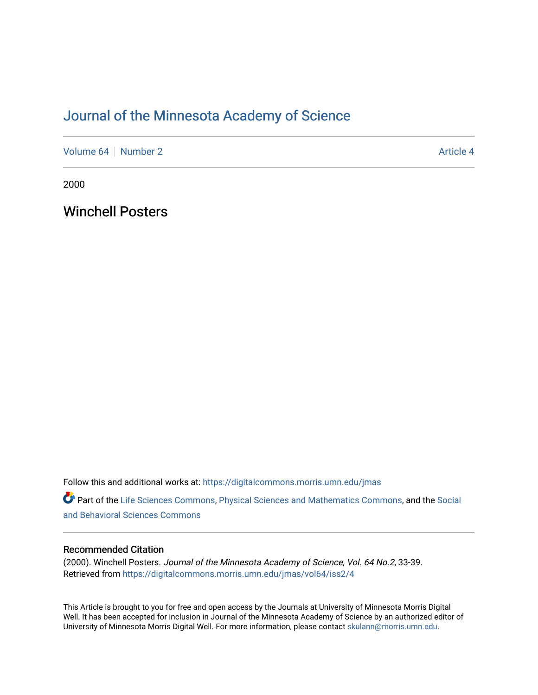# [Journal of the Minnesota Academy of Science](https://digitalcommons.morris.umn.edu/jmas)

[Volume 64](https://digitalcommons.morris.umn.edu/jmas/vol64) [Number 2](https://digitalcommons.morris.umn.edu/jmas/vol64/iss2) Article 4

2000

Winchell Posters

Follow this and additional works at: [https://digitalcommons.morris.umn.edu/jmas](https://digitalcommons.morris.umn.edu/jmas?utm_source=digitalcommons.morris.umn.edu%2Fjmas%2Fvol64%2Fiss2%2F4&utm_medium=PDF&utm_campaign=PDFCoverPages) 

Part of the [Life Sciences Commons,](https://network.bepress.com/hgg/discipline/1016?utm_source=digitalcommons.morris.umn.edu%2Fjmas%2Fvol64%2Fiss2%2F4&utm_medium=PDF&utm_campaign=PDFCoverPages) [Physical Sciences and Mathematics Commons,](https://network.bepress.com/hgg/discipline/114?utm_source=digitalcommons.morris.umn.edu%2Fjmas%2Fvol64%2Fiss2%2F4&utm_medium=PDF&utm_campaign=PDFCoverPages) and the [Social](https://network.bepress.com/hgg/discipline/316?utm_source=digitalcommons.morris.umn.edu%2Fjmas%2Fvol64%2Fiss2%2F4&utm_medium=PDF&utm_campaign=PDFCoverPages)  [and Behavioral Sciences Commons](https://network.bepress.com/hgg/discipline/316?utm_source=digitalcommons.morris.umn.edu%2Fjmas%2Fvol64%2Fiss2%2F4&utm_medium=PDF&utm_campaign=PDFCoverPages) 

# Recommended Citation

(2000). Winchell Posters. Journal of the Minnesota Academy of Science, Vol. 64 No.2, 33-39. Retrieved from [https://digitalcommons.morris.umn.edu/jmas/vol64/iss2/4](https://digitalcommons.morris.umn.edu/jmas/vol64/iss2/4?utm_source=digitalcommons.morris.umn.edu%2Fjmas%2Fvol64%2Fiss2%2F4&utm_medium=PDF&utm_campaign=PDFCoverPages)

This Article is brought to you for free and open access by the Journals at University of Minnesota Morris Digital Well. It has been accepted for inclusion in Journal of the Minnesota Academy of Science by an authorized editor of University of Minnesota Morris Digital Well. For more information, please contact [skulann@morris.umn.edu](mailto:skulann@morris.umn.edu).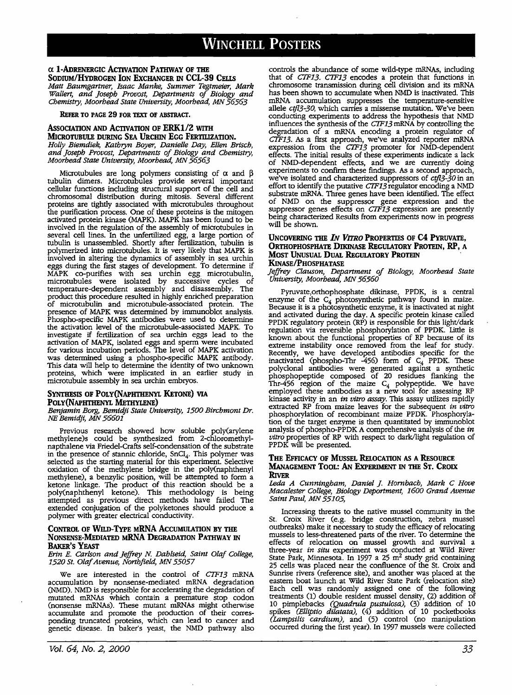#### *a* **1-ADRENERGIC ACTIVATION PATHWAY OF THE SODIUM/HYDROGEN ION EXCHANGER IN CCL-39 CELIS**  *Matt Baumgartner, Isaac Manke, Summer Tegtmeier, Mark Wallert, and Joseph Provost, Departments of Biology and*

*Chemistry, Moorhead State University, Moorhead, MN 56563* 

# **REFER TO PAGE 29 FOR TEXT OF ABSTRACT.**

# **Association and ACTIVATION OF ERK1/2 WITH**

**MICROTUBULE DURING SEA URCHIN EGG FERTILIZATION.**  *Holly Biemdiek, Kathryn Boyer, Danielle Day, Ellen Brisch, and Joseph Provost, Departments of Biology and Chemistry, Moorhead State University, Moorhead, MN 56563* 

Microtubules are long polymers consisting of  $\alpha$  and  $\beta$ tubulin dimers. Microtubules provide several important cellular functions including structural support of the cell and chromosomal distribution during mitosis. Several different proteins are tightly associated with rnicrotubules throughout the purification process. One of these proteins is the mitogen activated protein kinase (MAPK). MAPK has been found to be involved in the regulation of the assembly of microtubules in several cell lines. In the unfertilized egg, a large portion of tubulin is unassembled. Shortly after fertilization, tubulin is polymerized into microtubules. It is very likely that MAPK is involved in altering the dynamics of assembly in sea urchin eggs during the first stages of development. To determine if MAPK co-purifies with sea urchin egg microtubulin, microtubules were isolated by successive cycles of temperature-dependent assembly and disassembly. The product this procedure resulted in highly enriched preparation of rnicrotubulin and microtubule-associated protein. The presence of MAPK was determined by immunoblot analysis. Phospho-specific MAPK antibodies were used to determine the activation level of the rnicrotubule-associated MAPK. To investigate if fertilization of sea urchin eggs lead to the activation of MAPK, isolated eggs and sperm were incubated for various incubation periods. The level of MAPK activation was determined using a phospho-specific MAPK antibody. This data will help to determine the identity of two unknown proteins, which were implicated in an earlier study in microtubule assembly in sea urchin embryos.

# **SYNTHESIS OF POLY(NAPHTHENYL KETONE) VIA POLY(NAPHTHENYL METIIYLENE)**

*Benjamin Borg, Bemidji State University, 1500 Birchmont Dr. NE Bemidji, MN 56601* 

Previous research showed how soluble poly(arylene methylene)s could be synthesized from 2-chloromethylnapthalene via Friedel-Crafts self-condensation of the substrate in the presence of stannic chloride, SnCI<sub>4</sub>. This polymer was selected as the starting material for this experiment. Selective oxidation of the methylene bridge in the poly(naphthenyl methylene), a benzylic position, will be attempted to form a ketone linkage. The product of this reaction should be a ketone linkage. The product of this reaction should be a poly(naphthenyl ketone). This methodology is being attempted as previous direct methods have failed The extended conjugation of the polyketones should produce a polymer with greater electrical conductivity.

# **CONTROL OF WILD-TYPE MRNA ACCUMULATION BY THE NONSENSE-MEDIATED MRNA DEGRADATION PATHWAY** IN **BAKER'S YEAST**

#### *Erin E. Carlson and Jeffrey N. Dahlsetd, Saint Olaf College, 1520 St. Olaf Avenue, Northfield, MN 55057*

We are interested in the control of CTF13 mRNA accumulation by nonsense-mediated mRNA degradation (NMD). NMD is responsible for accelerating the degradation of mutated mRNAs which contain a premature stop codon (nonsense mRNAs). These mutant mRNAs might otherwise accumulate and promote the production of their corres- ponding truncated proteins, which can lead to cancer and genetic disease. In baker's yeast, the NMD pathway also controls the abundance of some wild-type mRNAs, including that of CTF13. CTF13 encodes a protein that functions in chromosome transmission during cell division and its mRNA has been shown to accumulate when NMD is inactivated. This mRNA accumulation suppresses the temperature-sensitive allele ctfl3-30, which carries a missense mutation. We've been conducting experiments to address the hypothesis that NMD influences the synthesis of the CTF13 mRNA by controlling the degradation of a mRNA encoding a protein regulator of CTF13. As a first approach, we've analyzed reporter mRNA expression from the CTF13 promoter for NMD-dependent effects. The initial results of these experiments indicate a lack of NMD-dependent effects, and we are currently doing experiments to confirm these findings. As a second approach, we've isolated and characterized suppressors of ctfl3-30 in an effort to identify the putative CTF13 regulator encoding a NMD substrate mRNA. Three genes have been identified. The effect of NMD on the suppressor gene expression and the suppressor genes effects on CTF13 expression are presently being characterized Results from experiments now in progress will be shown.

# **UNCOVERING THE IN** *Vl71l0* **PROPERTIES OF C4 PYRUVATE, ORTHOPHOSPHATE DIKINASE REGULATORY PROTEIN, RP, A MOST UNUSUAL DUAL REGULATORY PROTEIN KINASE/PHOSPHATASE**

*Jeffrey Clauson, Department of Biology, Moorhead State University, Moorhead, MN 56560* 

Pyruvate,orthophosphate dikinase, PPDK, is a central enzyme of the  $C_4$  photosynthetic pathway found in maize.<br>Because it is a photosynthetic enzyme, it is inactivated at night and activated during the day. **A** specific protein kinase called PPDK regulatory protein (RP) is responsible for this light/dark regulation via reversible phosphorylation of PPDK. Little is known about the functional properties of RP because of its extreme instability once removed from the leaf for study. Recently, we have developed antibodies specific for the inactivated (phospho-Thr  $-456$ ) form of  $C_4$  PPDK. These polyclonal antibodies were generated against a synthetic phosphopeptide composed of 20 residues flanking the Thr-456 region of the maize  $C_4$  polypeptide. We have employed these antibodies as a new tool for assessing RP kinase activity in an *in vitro assay.* This assay utilizes rapidly extracted RP from maize leaves for the subsequent *in vitro*  phosphorylation of recombinant maize PPDK. Phosphorylation of the target enzyme is then quantitated by immunoblot analysis of phospho-PPDK A comprehensive analysis of the *in vitro* properties of RP with respect to dark/light regulation of PPDK will be presented.

#### **Tm: EFFICACY OF MUSSEL RELOCATION AS A REsOURCE MANAGEMENT TOOL: AN ExPERIMENT IN THE ST. CROIX RlvER**

I.eda A *Cunningham, Daniel J. Hornbach, Mark C Hove Macalester College, Biology Deportment, 1600 Grand* Avenue *Saint Paul, MN 55105,* 

Increasing threats to the native mussel community in the St. Croix River (e.g. bridge construction, zebra mussel outbreaks) make it necessary to study the efficacy of relocating mussels to less-threatened parts of the river. To determine the effects of relocation on mussel growth and survival a three-year *in situ* experiment was conducted at Wild River State Park, Minnesota. In 1997 a  $25 \text{ m}^2$  study grid containing 25 cells was placed near the confluence of the St. Croix and Sunrise rivers (reference site), and another was placed at the eastern boat launch at Wild River State Park (relocation site) Each cell was randomly assigned one of the following treatments (1) double resident mussel density, (2) addition of 10 pimplebacks *(Quadrula pustulosa),* (3) addition of 10 spikes *(Elliptio dilatata),* (4) addition of 10 pocketbooks *(Lampsilis cardium),* and (5) control (no manipulation occurred during the first year). In 1997 mussels were collected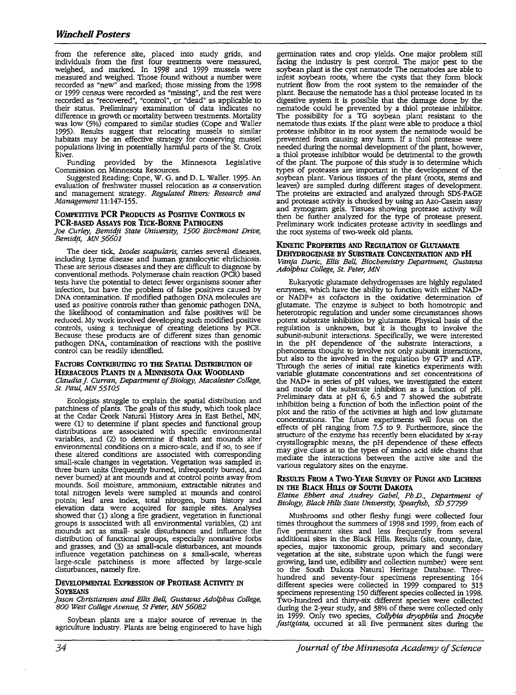from the reference site, placed into study grids, and individuals from the first four treatments were measured, weighed, and marked. In 1998 and 1999 mussels were measured and weighed. Those found without a number were recorded as "new" and marked; those missing from the 1998 or 1999 census were recorded as "missing", and the rest were recorded as "recovered", "control", or "dead" as applicable to their status. Preliminary examination of data indicates no difference in growth or mortality between treatments. Mortality was low (5%) compared to similar studies (Cope and Waller 1995). Results suggest that relocating mussels to similar habitats may be an effective strategy for conserving mussel populations living in potentially harmful parts of the St. Croix River.

Funding provided by the Minnesota Legislative Commission on Minnesota Resources.

Suggested Reading: Cope, W. G. and D. L. Waller. 1995. An evaluation of freshwater mussel relocation as *a* conservation and management strategy. *Regulated Rivers: Research and Management* 11:147-155.

#### **COMPETITIVE PCR PRODUCTS AS POSITIVE CONTROLS IN PCR-BASED AssAYS FOR TICK-BORNE PATIIOGENS**

*Joe Curley, Bemidji State University, 1500 Birchmont Drive, Bemidji, MN 56601* 

The deer tick, *Ixodes scapularis,* carries several diseases, including Lyme disease and human granulocytic ehrlichiosis. These are serious diseases and they are difficult to diagnose by conventional methods. Polymerase chain reaction (PCR) based tests have the potential to detect fewer organisms sooner after infection, but have the problem of false positives caused by DNA contamination. If modified pathogen DNA molecules are used as positive controls rather than genomic pathogen DNA, the likelihood of contamination and false positives will be reduced. My work involved developing such modified positive controls, using a technique of creating deletions by PCR. Because these products are of different sizes than genomic pathogen DNA, contamination of reactions with the positive control can be readily identified.

#### **FACTORS CONTRIBUTING TO THE SPATIAL DISTRIBUTION OF HERBACEOUS PLANTS** IN **A MINNEsOTA OAK WOODIAND**  *Claudia J. Curran, Department of Biology, Macalester College, St. Paul, MN 55105*

Ecologists struggle to explain the spatial distribution and patchiness of plants. The goals of this study, which took place at the Cedar Creek Natural History Area in East Bethel, MN, were (1) to determine if plant species and functional group distributions are associated with specific environmental variables, and (2) to determine if thatch ant mounds alter environmental conditions on a micro-scale, and if so, to see if these altered conditions are associated with corresponding small-scale changes in vegetation. Vegetation was sampled in three bum units (frequently burned, infrequently burned, and never burned) at ant mounds and at control points away from mounds. Soil moisture, ammonium, extractable nitrates and total nitrogen levels were sampled at mounds and control points; leaf area index, total nitrogen, bum history and elevation data were acquired for sample sites. Analyses showed that (1) along a fire gradient, vegetation in functional groups is associated with all environmental variables, (2) ant mounds act as small- scale disturbances and influence the distribution of functional groups, especially nonnative forbs and grasses, and (3) as small-scale disturbances, ant mounds influence vegetation patchiness on a small-scale, whereas large-scale patchiness is more affected by large-scale disturbances, namely fire.

#### **DEVELOPMENTAL EXPRESSION OF PROTEASE ACTIVITY IN SOYBEANS**

*Jason Christiansen and Ellis Bel4 Gustavus Adolphus College, 800 West College Avenue, St Peter, MN 56082* 

Soybean plants are a major source of revenue in the agriculture industry. Plants are being engineered to have high

germination rates and crop yields. One major problem still facing the industry is pest control. The major pest to the soybean plant is the cyst nematode The nematodes are able to infest soybean roots, where the cysts that they form block nutrient flow from the root system to the remainder of the plant. Because the nematode has a thiol protease located in its digestive system it is possible that the damage done by the nematode could he prevented by a thiol protease inhibitor. The possibility for a TG soybean plant resistant to the nematode thus exists. If the plant were able to produce a thiol protease inhibitor in its root system the nematode would be prevented from causing any harm. If a thiol protease were needed during the normal development of the plant, however, a thiol protease inhibitor would be detrimental to the growth of the plant. The purpose of this study is to determine which types of proteases are important in the development of the soybean plant. Various tissues of the plant (roots, stems and leaves) are sampled during different stages of development. The proteins are extracted and analyzed through SOS-PAGE and protease activity is checked by using an Azo-Casein assay and zymogram gels. Tissues showing protease activity will then be further analyzed for the type of protease present. Preliminary work indicates protease activity in seedlings and the root systems of two-week old plants.

#### **KINETIC PROPERTIES AND REGULATION OF GLUTAMATE DEHYDROGENASE BY SUBSTRATE CONCENTRATION AND PH**  *Vanja Durie, Ellis Bel4 Biochemistry Department, Gustavus Adolphus College, St. Peter, MN*

Eukaryotic glutamate dehydrogenases are highly regulated or NADP+ as cofactors in the oxidative determination of glutamate. The enzyme is subject to both homotropic and heterotropic regulation and under some circumstances shows potent substrate inhibition by glutamate. Physical basis of the regulation is unknown, but it is thought to involve the subunit-subunit interactions. Specifically, we were interested in the pH dependence of the substrate interactions, a phenomena thought to involve not only subunit interactions, but also to the involved in the regulation by GTP and ATP. Through the series of initial rate kinetics experiments with variable glutamate concentrations and set concentrations of the NAD+ in series of pH values, we investigated the extent and mode of the substrate inhibition as a function of pH. Preliminary data at pH 6, 6.5 and 7 showed the substrate inhibition being a function of both the inflection point of the plot and the ratio of the activities at high and low glutamate concentrations. The future experiments will focus on the effects of pH ranging from 7.5 to 9. Furthermore, since the structure of the enzyme has recently been elucidated by x-ray crystallographic means, the pH dependence of these effects may give clues at to the types of amino acid side chains that mediate the interactions between the active site and the various regulatory sites on the enzyme.

# **REsULTS FROM A Two-YEAR SURVEY OF FuNGI AND LICHENS**  IN **THE BLACK Hm.s OF Soum DAKOTA**

*Elaine Ebbert and Audrey Gabel, Ph.D., Department of Biology, Black Hills State University, Spearfish, SD 57799* 

Mushrooms and other fleshy fungi were collected four times throughout the summers of 1998 and 1999, from each of five permanent sites and less frequently from several additional sites in the Black Hills. Results (site, county, date, species, major taxonomic group, primary and secondary vegetation at the site, substrate upon which the fungi were growing, land use, edibility and collection number) were sent to the South Dakota Natural Heritage Database. Threehundred and seventy-four specimens representing 164 different species were collected in 1999 compared to 313 specimens representing 150 different species collected in 1998. Two-hundred and thirty-six different species were collected during the 2-year study, and 38% of these were collected only in 1999. Only two species, *Collybia dryophi/a* and *Jnocybe*  fastigiata, occurred at all five permanent sites during the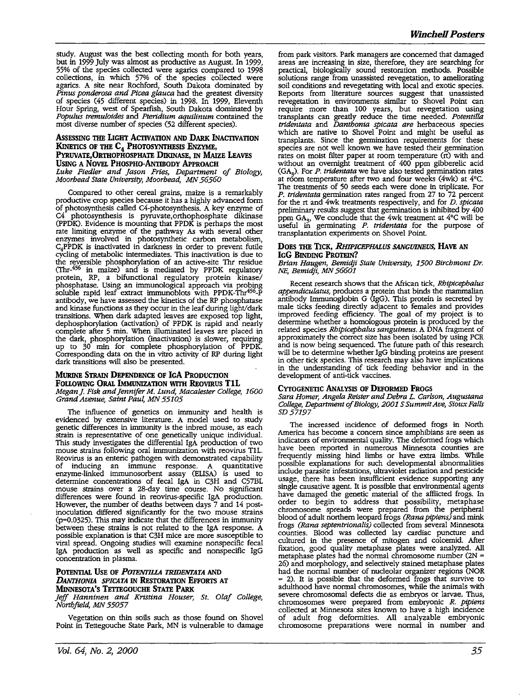study. August was the best collecting month for both years, but in 1999 July was almost as productive as August. In 1999, 55% of the species collected were agarics compared to 1998 collections, in which 57% of the species collected were agarics. A site near Rochford, South Dakota dominated by *Pinus ponderosa and Picea glauca* had the greatest diversity of species (45 different species) in 1998. In 1999, Eleventh Hour Spring, west of Spearfish, South Dakota dominated by *Populus tremuloides* and *Pteridium aquilinum* contained the most diverse number of species (52 different species).

### **AssESSING TIIE LIGHT ACTIVATION AND DARK INACTIVATION**  KINETICS OF THE C<sub>4</sub> PHOTOSYNTHESIS ENZYME, **PYRUVATE,ORTIIOPHOSPHATE DIKINASE,** IN **MAizE LEAVES USING A NOVEL PHOSPHO-ANTIBODY APPROACH** *Luke Fiedler and Jason Fries, Department of Biology,*

*Moorhead State University, Moorhead, MN 56560* 

Compared to other cereal grains, maize is a remarkably productive crop species because it has a highly advanced form of photosynthesis called C4-photosynthesis. A key enzyme of C4 photosynthesis is pyruvate,orthophosphate dikinase (PPDK). Evidence is mounting that PPDK is perhaps the most rate limiting enzyme of the pathway As with several other enzymes involved in photosynthetic carbon metabolism,  $C_4$ PPDK is inactivated in darkness in order to prevent futile cycling of metabolic intermediates. This inactivation is due to the reversible phosphorylation of an active-site Thr residue (Thr-456 in maize) and is mediated by PPDK regulatory protein, RP, a bifunctional regulatory protein kinase/ phosphatase. Using an immunological approach via probing soluble rapid leaf extract immunoblots with PPDK-Thr<sup>456</sup>-P antibody, we have assessed the kinetics of the RP phosphatase and kinase functions as they occur in the leaf during light/dark transitions. When dark adapted leaves are exposed top light, dephosphorylation (activation) of PPDK is rapid and nearly complete after 5 min. When illuminated leaves are placed in the dark, phosphorylation (inactivation) is slower, requiring up to 30 min for complete phosphorylation of PPDK. Corresponding data on the in vitro activity of RP during light dark transitions will also be presented.

#### **MURINE STRAIN DEPENDENCE OF IGA PRODUCTION FOLLOWING ORAL IMMUNIZATION WITH REOVIRUS T1L** *Megan]. Fisk and Jennifer M. Lund, Macalester College, 1600 Grand Avenue, Saint Paul, MN 55105*

The influence of genetics on immunity and health is evidenced by extensive literature. A model used to study genetic differences in immunity is the inbred mouse, as each strain is representative of one genetically unique individual. mouse strains following oral immunization with reovirus T1L. Reovirus is an enteric pathogen with demonstrated capability of inducing an immune response. A quantitative enzyme-linked immunosorbent assay (ELISA) is used to determine concentrations of fecal lgA in C3H and C57BL mouse strains over a 28-day time course. No significant differences were found in reovirus-specific IgA production. However, the number of deaths between days 7 and 14 postinoculation differed significantly for the two mouse strains (p=0.0325). This may indicate that the differences in immunity between these strains is not related to the IgA response. A possible explanation is that C3H mice are more susceptible to viral spread. Ongoing studies will examine nonspecific fecal IgA production as well as specific and nonspecific IgG concentration in plasma.

# **POTENTIAL USE OF** *POTENTILLA TRIDENTATA* **AND**  *DANTHONIA SPICATA* IN **REsTORATION EFFORTS AT MINNESOTA'S TETTEGOUCHE STATE PARK**

#### *Jeff Hanninen and Kristina Houser, St. Olaf College, Northfield, MN 55057*

Vegetation on thin soils such as those found on Shovel Point in Tettegouche State Park, MN is vulnerable to damage from park visitors. Park managers are concerned that damaged areas are increasing in size, therefore, they are searching for practical, biologically sound restoration methods. Possible solutions range from unassisted revegetation, to ameliorating soil conditions and revegetating with local and exotic species. Reports from literature sources suggest that unassisted revegetation in environments similar to Shovel Point can require more than 100 years, but revegetation using transplants can greatly reduce the time needed. *Potentilla tridentata* and *Danthonia spicata are* herbaceous species which are native to Shovel Point and might be useful as transplants. Since the germination requirements for these species are not well known we have tested their germination rates on moist filter paper at room temperature (rt) with and without an overnight treatment of 400 ppm gibberelic acid (GA<sup>3</sup> ). For *P. tridentata* we have also tested germination rates at room temperature after two and four weeks (4wk) at 4°C. The treatments of 50 seeds each were done in triplicate. For *P. tridentata* germination rates ranged from 27 to 72 percent for the rt and 4wk treatments respectively, and for *D. spicata*  preliminary results suggest that germination is inhibited by 400 ppm GA<sub>3</sub>, We conclude that the 4wk treatment at  $4^{\circ}$ C will be useful in germinating *P. tridentata* for the purpose of transplantation experiments on Shovel Point.

# **DOES TIIE TICK,** *RllIPICEPHALUS SANGUINEUS,* **HAVE AN IGG BINDING PROTEIN?**

*Brian Haugen, Bemidji State University, 1500 Bircbmont* Dr. NE, *Bemidji, MN 56601* 

Recent research shows that the African tick, *Rbipicepba/us appendiculatus,* produces a protein that binds the mammalian antibody Immunoglobin G (IgG). This protein is secreted by male ticks feeding directly adjacent to females and provides improved feeding efficiency. The goal of my project is to determine whether a homologous protein is produced by the related species *Rhipicepbalus sanguineus.* A DNA fragment of approximately the correct size has been isolated by using PCR and is now being sequenced. The future path of this research will be to determine whether IgG binding proteins are present in other tick species. This research may also have implications in the understanding of tick feeding behavior and in the development of anti-tick vaccines.

# **CYTOGENETIC ANALYSIS OF DEFORMED FROGS**

*Sara Homer, Angela Reister and Debra L. Carlson, Augustana College, Department of Biology, 2001 S Summit Ave, Sioux Falls SD57197* 

The increased incidence of deformed frogs in North<br>America has become a concern since amphibians are seen as indicators of environmental quality. The deformed frogs which have been reported in numerous Minnesota counties are frequently missing hind limbs or have extra limbs. While possible explanations for such developmental abnormalities include parasite infestations, ultraviolet radiation and pesticide usage, there has been insufficient evidence supporting any single causative agent. It is possible that environmental agents have damaged the genetic material of the afflicted frogs. In order to begin to address that possibility, metaphase chromosome spreads were prepared from the peripheral blood of adult northern leopard frogs *(Rana pipiens)* and mink frogs *(Rana septentrionalis)* collected from several Minnesota counties. Blood was collected lay cardiac puncture and cultured in the presence of mitogen and colcemid. After fixation, good quality metaphase plates were analyzed. All 26) and morphology, and selectively stained metaphase plates had the normal number of nucleolar organizer regions (NOR had the normal number of nucleolar organizer regions (NOR = 2). It is possible that the deformed frogs that survive to adulthood have normal chromosomes, while the animals with severe chromosomal defects die as embryos or larvae. Thus, chromosomes were prepared from embryonic *R. pipiens*  collected at Minnesota sites known to have a high incidence of adult frog deformities. **All** analyzable embryonic chromosome preparations were normal in number and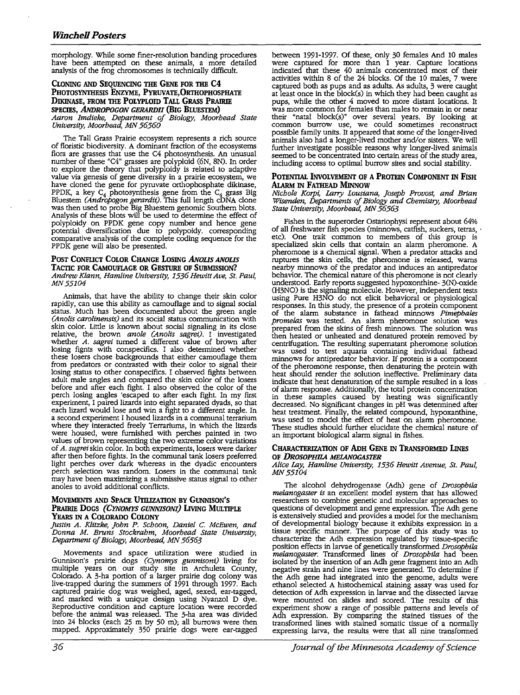morphology. While some finer-resolution banding procedures have been attempted on these animals, a more detailed analysis of the frog chromosomes is technically difficult.

#### **CLONING AND SEQUENCING THE GENE FOR THE C4 PHOTOSYNTHESIS ENZ¥ME, PYRUVATE,ORTHOPHOSPHATE DIKINASE, FROM THE POLYPLOID TALL GRASS PRAIRIE SPECIES,** *ANIJROPOGON GERARDI!* **(BIG BLUESTEM)**  *Aaron Imdieke, Department of Biology, Moorhead State University, Moorhead, MN 56560*

The Tall Grass Prairie ecosystem represents a rich source of floristic biodiversity. A dominant fraction of the ecosystems flora are grasses that use the C4 photosynthesis. An unusual number of these "C4" grasses are polyploid (6N, 8N). In order to explore the theory that polyploidy is related to adaptive value via genesis of gene diversity in a prairie ecosystem, we have cloned the gene for pyruvate orthophosphate dikinase, PPDK, a key  $C_4$  photosynthesis gene from the  $C_4$  grass Big Bluestem *(Andropogon gerardii).* This full length cDNA clone was then used to probe Big Bluestem genomic Southern blots. Analysis of these blots will be used to determine the effect of polyploidy on PPDK gene copy number and hence gene potential diversification due to polypoidy. corresponding comparative analysis of the complete coding sequence for the PPDK gene will also be presented.

#### POST CONFLICT COLOR CHANGE LOSING *ANOLIS ANOLIS* **TACTIC FOR CAMOUFLAGE OR GESTURE OF SUBMISSION?**  Andrew Klann, Hamline University, 1536 Hewitt Ave, St. Paul, *MN55104*

Animals, that have the ability to change their skin color rapidly, can use this ability as camouflage and to signal social status. Much has been documented about the green angle *(Ano/is carolinensis)* and its social status communication with skin color. Little is known about social signaling in its close relative, the brown *anole (Ano/is sagrei).* I investigated whether *A. sagrei* turned a different value of brown after losing fignts with conspecifics. I also determined whether these losers chose backgrounds that either camouflage them from predators or contrasted with their color to signal their losing status to other conspecifics. I observed fights between adult male angles and compared the skin color of the losers before and after each fight. I also observed the color of the perch losing angles 'escaped to after each fight. In my first experiment, I paired lizards into eight separated dyads, so that each lizard would lose and win a fight to a different angle. In a second experiment I housed lizards in a communal terrarium were housed, were furnished with perches painted in two values of brown representing the two extreme color variations of *A. sugrei* skin color. In both experiments, losers were darker after then before fights. In the communal tank losers preferred light perches over dark whereas in the dyadic encounters perch selection was random. Losers in the communal tank may have been maximizing a submissive status signal to other anoles to avoid additional conflicts.

## **MOVEMENTS AND SPACE UTILIZATION BY GUNNISON'S PRAIRIE DOGS** *(CYNOMYS GUNNISONI)* LIVING MULTIPLE **YEARS** IN **A COLORADO COLONY**

*Justin A. Klitzke, John P. Schoon, Daniel* C. *McEwen, and Donna M. Bruns Stockrahm, Moorhead State University, Department of Biology, Moorhead, MN 56563* 

Movements and space utilization were studied in Gunnison's prairie dogs *(Cynomys gunnisoni)* living for multiple years on our study site in Archuleta County, Colorado. A 3-ha portion of a larger prairie dog colony was live-trapped during the summers of 1991 through 1997. Each captured prairie dog was weighed, aged, sexed, ear-tagged, and marked with a unique design using Nyanzol D dye. Reproductive condition and capture location were recorded before· the animal was released. The 3-ha area was divided into 24 blocks (each 25 m by 50 m); all burrows were then mapped. Approximately 350 prairie dogs were ear-tagged

between 1991-1997. Of these, only 30 females And 10 males were captured for more than 1 year. Capture locations indicated that these 40 animals concentrated most of their activities within 8 of the 24 blocks. Of the 10 males, 7 were captured both as pups and as adults. As adults, 3 were caught at least once in the block(s) in which they had been caught as pups, while the other 4 moved to more distant locations. It pups, while the other 4 moved to more distant locations. It was more common for females than males to remain in or near their "natal block(s)" over several years. By looking at common burrow use, we could sometimes reconstruct possible family units. It appeared that some of the longer-lived animals also had a longer-lived mother and/or sisters. We will further investigate possible reasons why longer-lived animals seemed to be concentrated into certain areas of the study area, including access to optimal burrow sites and social stability.

#### **POTENTIAL INvOLVEMENT OF A PROTEIN COMPONENT** IN **FISH Al.ARM** IN **FATHEAD MINNOW**

*Nichole Korpi,* J,any *Lousiana, Joseph Provost, and Brian Wisenden, Departments of Biology and Chemistry, Moorhead State University, Moorhead, MN 56563* 

Fishes in the superorder Ostariophysi represent about 64% of all freshwater fish species (minnows, catfish, suckers, tetras, etc). One trait common to members of this group is specialized skin cells that contain an alarm pheromone. **A**  pheromone is a chemical signal. When a predator attacks and ruptures the skin cells, the pheromone is released, warns nearby minnows of the predator and induces an antipredator behavior. The chemical nature of this pheromone is not clearly understood. Early reports suggested hypoxonthine- 3(N)-oxide (H3NO) is the signaling molecule. However, independent tests using Pure H3NO do not elicit behavioral or physiological responses. In this study, the presence of a protein component of the alarm substance in fathead minnows *Pimephales prepared from the skins of fresh minnows. The solution was then heated or unheated and denatured protein removed by* centrifugation. The resulting supernatant pheromone solution was used to test aquaria containing individual fathead minnows for antipredator behavior. If protein is a component of the pheromone response, then denaturing the protein with heat should render the solution ineffective. Preliminary data indicate that heat denaturation of the sample resulted in a loss of alarm response. Additionally, the total protein concentration in these samples caused by heating was significantly decreased. No significant changes in pH was determined after heat treatment. Finally, the related compound, hypoxanthine, was used to model the effect of heat on alarm pheromone. These studies should further elucidate the chemical nature of an important biological alarm signal in fishes.

# **CHARACTERIZATION OF ADH GENE** IN **TRANSFORMED LINES OF** *DROSOPHILA MELANOGASTER*

*Alice Lay, Hamline University, 1536 Hewitt Avenue, St. Paul, MN55104* 

The alcohol dehydrogenase (Adh) gene of *Drosophila melanogaster is* an excellent model system that has allowed researchers to combine genetic and molecular approaches to questions of development and gene expression. The Adh gene is extensively studied and provides a model for the mechanism of developmental biology because it exhibits expression in a tissue specific manner. The purpose of this study was to characterize the Adh expression regulated by tissue-specific position effects in larvae of genetically transformed *Drosophila melanogaster.* Transformed lines of *Drosophila* had been isolated by the insertion of an Adh gene fragment into an Adh negative strain and nine lines were generated. To determine if the Adh gene had integrated into the genome, adults were ethanol selected A histochemical staining assay was used for detection of Adh expression in larvae and the dissected larvae were mounted on slides and scored. The results of this experiment show a range of possible patterns and levels of Adh expression. By comparing the stained tissues of the transformed lines with stained somatic tissue of a normally expressing larva, the results were that all nine transformed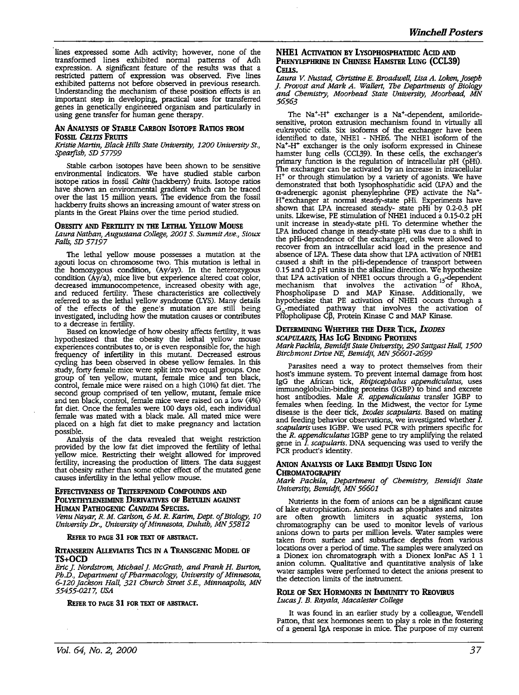lines expressed some Adh activity; however, none of the transformed lines exhibited normal patterns of Adh expression. A significant feature of the results was that a restricted pattern of expression was observed. Five lines exhibited patterns not before observed in previous research. Understanding the mechanism of these position effects is an important step in developing, practical uses for transferred genes in genetically engineered organism and particularly in using gene transfer for human gene therapy.

# **AN ANALYSIS OF STABLE CARBON lsOTOPE RATIOS FROM FOSSIL CELTIS FRUITS**

*Kristie Martin, Black Hills State University, 1200 University St., spearfish, SD 57799* 

Stable carbon isotopes have been shown to be sensitive environmental indicators. We have studied stable carbon isotope ratios in fossil *Ce/tis* (hackberry) fruits. Isotope ratios have shown an environmental gradient which can be traced over the last 15 million years. The evidence from the fossil hackberry fruits shows an increasing amount of water stress on plants in the Great Plains over the time period studied.

# **OBESITY AND FERTILITY** IN **THE LETIIAL YELLOW MOUSE**

*lAura Nathan, Augustana College, 2001 S. Summit Ave., Sioux Falls, SD 57197* 

The lethal yellow mouse possesses a mutation at the agouti locus on chromosome two. This mutation is lethal in the homozygous condition, (Ay/ay). In the heterozygous condition (Ay/a), mice live but experience altered coat color, decreased immunocompetence, increased obesity with age, and reduced fertility. These characteristics are collectively referred to as the lethal yellow syndrome (LYS). Many details of the effects of the gene's mutation are still being investigated, including how the mutation causes or contributes

to a decrease in fertility. based on knowledge of how obesity the lethal yellow mouse experiences contributes to, or is even responsible for, the high frequency of infertility in this mutant. Decreased estrous cycling has been observed in obese yellow females. In this study, forty female mice were split into two equal groups. One group of ten yellow, mutant, female mice and ten black, control, female mice were raised on a high (10%) fat diet. The second group comprised of ten yellow, mutant, female mice and ten black, control, female mice were raised on a low (4%) fat diet. Once the females were 100 days old, each individual female was mated with a black male. All mated mice were placed on a high fat diet to make pregnancy and lactation possible.

Analysis of the data revealed that weight restriction provided by the low fat diet improved the fertility of lethal yellow mice. Restricting their weight allowed for improved fertility, increasing the production of litters. The data suggest that obesity rather than some other effect of the mutated gene causes infertility in the lethal yellow mouse.

#### **EFFECTIVENESS OF TRITERPENOID COMPOUNDS AND POLYETIIYLENEIMINE DERIVATIVES OF BETULIN AGAINST HUMAN PATHOGENIC** *CANDIDA* **SPECIES.**

*Venu Nayar, R. M. Carlson,* & *M. R. Karim, Dept. of Biology, 10 University* Dr., *University of Minnesota, Duluth, MN 55812* 

**REFER TO PAGE 31 FOR TEXT OF ABSTRACT.** 

#### **RITANSERIN ALLEVIATES TICS IN A TRANSGENIC MODEL OF TS+OCD**

Eric J. Nordstrom, Michael J. McGrath, and Frank H. Burton, *Ph.D., Department of Pharmacology, University of Minnesota, 6-120 Jackson Hall, 321 Church Street S.E., Minneapolis, MN 55455-0217, USA* 

**REFER TO PAGE 31 FOR TEXT OF ABSTRACT.** 

#### **NHE1 ACTIVATION BY LYSOPHOSPHATIDIC ACID AND PHENYLEPHRINE** IN **CHINESE HAMSTER LUNG (CCL39) CELIS.**

*lAura* V. *Nustad, Christine E. Broadwell, Lisa A. Loken, Joseph J Provost and Mark A. Wallert, The Departments of Biology and Chemistry, Moorhead State University, Moorhead, MN 56563* 

The Na<sup>+</sup>-H<sup>+</sup> exchanger is a Na<sup>+</sup>-dependent, amiloridesensitive, proton extrusion mechanism found in virtually all eukrayotic cells. Six isoforrns of the exchanger have been identified to date, NHEl - NHE6. The NHEl isoform of the Na<sup>+</sup>-H<sup>+</sup> exchanger is the only isoform expressed in Chinese hamster lung cells (CCL39). In these cells, the exchanger's primary function is the regulation of intracellular pH (pHi). The exchanger can be activated by an increase in intracellular H+ or through stimulation by a variety of agonists. We have demonstrated that both Iysophosphatidic acid (LPA) and the  $\alpha$ -adrenergic agonist phenylephrine (PE) activate the Na<sup>+</sup>-H+exchanger at normal steady-state pHi. Experiments have shown that LPA increased steady- state pHi by 0.2-0.3 pH units. Likewise, PE stimulation of NHEl induced a 0.15-0.2 pH unit increase in steady-state pHi. To determine whether the LPA induced change in steady-state pHi was due to a shift in the pHi-dependence of the exchanger, cells were allowed to recover from an intracellular acid load in the presence and absence of LPA. These data show that LPA activation of NHEl caused a shift in the pHi-dependence of transport between 0.15 and 0.2 pH units in the alkaline direction. We hypothesize that LPA activation of NHE1 occurs through a  $G_{13}$ -dependent mechanism that involves the activation of RhoA, Phospholipase D and MAP Kinase. Additionally, we hypothesize that PE activation of NHE1 occurs through a  $G_q$ -mediated pathway that involves the activation of Phopholipase C<sub>B</sub>, Protein Kinase C and MAP Kinase.

# **DETERMINING WHETHER THE DEER TICK, lxODES**  *SCAPULARIS,* **HAs IGG BINDING PROTEINS**

*Mark Packila, Bemidji State University, 290 Sattgast Hall, 1500 Birchmont Drive* NE, *Bemidji, MN 56601-2699* 

Parasites need a way to protect themselves from their host's immune system. To prevent internal damage from host IgG the African tick, *Rhipicephalus appendiculatus*, uses immunoglobulin-binding proteins (IGBP) to bind and excrete host antibodies. Male *R. appendiculatus* transfer IGBP to females when feeding. In the Midwest, the vector for Lyme disease is the deer tick, *Ixodes scapularis.* Based on mating and feeding behavior observations, we investigated whether  $\overline{I}$ . scapularis uses IGBP. We used PCR with primers specific for the *R. appendiculatus* IGBP gene to try amplifying the related gene in *I. scapularis.* DNA sequencing was used to verify the PCR product's identity.

# **ANION ANALYSIS OF LAKE BEMIDJI USING ION CHROMATOGRAPHY**

*Mark Packila, Department of Chemistry, Bemidji State University, Bemidji, MN 56601* 

Nutrients in the form of anions can be a significant cause of lake eutrophication. Anions such as phosphates and nitrates are often growth limiters in aquatic systems, Ion chromatography can be used to monitor levels of various anions down to parts per million levels. Water samples were taken from surface and subsurface depths from various locations over a period of time. The samples were analyzed on a Dionex ion chromatograph with a Dionex IonPac AS 1 1 anion column. Qualitative and quantitative analysis of lake water samples were performed to detect the anions present to the detection limits of the instrument.

#### **ROLE OF SEX HORMONES** IN IMMUNITY **TO REovmus**  *Lucas J. B. Raya/a, Macalester College*

It was found in an earlier study by a colleague, Wendell Patton, that sex hormones seem to play a role in the fostering of a general IgA response in mice. The purpose of my current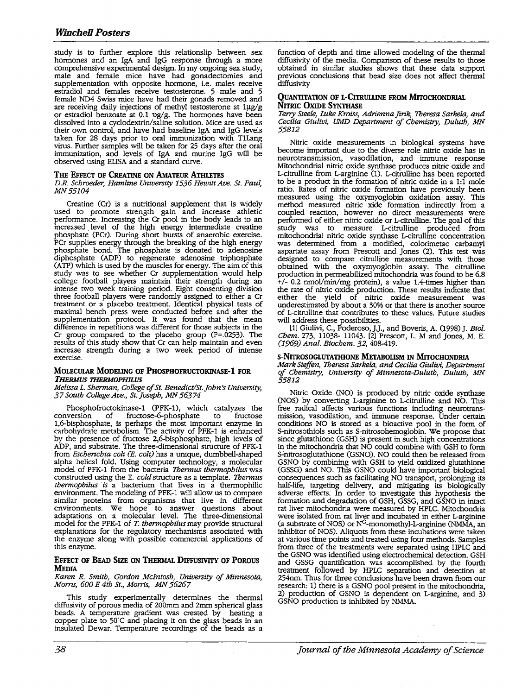study is to further explore this relationslip between sex honnones and an IgA and IgG response through a more comprehensive experimental design. In my ongoing sex study, male and female mice have had gonadectomies and supplementation with opposite hormone, i.e. males receive estradiol and females receive testosterone. 5 male and 5 female ND4 Swiss mice have had their gonads removed and are receiving daily injections of methyl testosterone at lµg/g or estradiol benzoate at 0.1 ug/g. The hormones have been dissolved into a cyclodextrin/saline solution. Mice are used as their own control, and have had baseline IgA and IgG levels. taken for 28 days prior to oral immunization with TlLang virus. Further samples will be taken for 25 days after the oral immunization, and levels of IgA and murine IgG will be observed using ELISA and a standard curve.

#### **THE EFFECT OF CREATINE ON AMATEUR ATIRETES**

*D.R. Schroeder, Hamline University 1536 Hewitt Ave. St. Paul, MN55104* 

Creatine (Cr) is a nutritional supplement that is widely used to promote strength gain and increase athletic perfonnance. Increasing the Cr pool in the body leads to an increased . level of the high energy intennediate creatine phosphate (PCr). During short bursts of anaerobic exercise. PCr supplies energy through the breaking of the high energy phosphate bond. The phosphate is donated to adenosine diphosphate (ADP) to regenerate adenosine triphosphate (ATP) which is used by the muscles for energy. The aim of this study was to see whether Cr supplementation would help college football players maintain their strength during an college football players maintain their strength during an intense two week training period. Eight consenting division three football players were randomly assigned to either a Cr treatment or a placebo treatment. Identical physical tests of maximal bench press were conducted before and after the supplementation protocol. It was found that the mean difference in repetitions was different for those subjects in the Cr group compared to the placebo group (P=.0253). The results of this study show that Cr can help maintain and even increase strength during a two week period of intense exercise.

#### **MOLECULAR MODELING OF PHOSPHOFRUCTOKINASE-1 FOR**  *1'HERMUS THERMOPHILUS*

*Melissa L. Sherman, College of St. Benedict/St.John~ University, 37 South College Ave., St.Joseph, MN 56374* 

Phosphofructokinase-1 (PFK-1), which catalyzes the conversion of fructose-6-phosphate to fructose fructose-6-phosphate to fructose 1,6-bisphosphate, is perhaps the most important enzyme in carbohydrate metabolism. The activity of PFK-1 is enhanced by the presence of fructose 2,6-bisphosphate, high levels of ADP, and substrate. The three-dimensional structure of PFK-1 from *Escherichia coli (E. coli)* has a unique, dumbbell-shaped alpha helical fold. Using computer technology, a molecular model of PFK-1 from the bacteria *Thermus thermophilus* was constructed using the E. *cold* structure as a template. *Thermus thermophilus is* a bacterium that lives in a thermophilic environment. The modeling of PFK-1 will allow us to compare similar proteins from organisms that live in different environments. We hope to answer questions about adaptations on a molecular level. The three-dimensional model for the PFK-1 of T. *thermophilusmay* provide structural explanations for the regulatory mechanisms associated with the enzyme along with possible commercial applications of this enzyme.

# **EFFECT OF BEAD SIZE ON THERMAL DIFFUSIVITY OF POROUS MEDIA**

*Karen R. Smith, Gordon McIntosh, University of Minnesota, Morris, 600 E 4th St., Morris, MN 56267* .

This study experimentally determines the thermal diffusivity of porous media of 200mm and 2mm spherical glass beads. A temperature gradient was created by heating a copper plate to 50°C and placing it on the glass beads in an insulated Dewar. Temperature recordings of the beads as a

function of depth and time allowed modeling of the thermal diffusivity of the media. Comparison of these results to those obtained in similar studies shows that these data support previous conclusions that bead size does not affect thermal diffusivity

#### **QUANTITATION OF L-CITRULLINE FROM MITOCHONDRIAL NITRIC OXIDE SYNTIIASE**

Teny *Steele, Luke Kroiss, AdriennaJirik, Theresa Sarkela, and Cecilia GiuliVi, UMD Department of Chemistry, Duluth, MN 55812* 

Nitric oxide measurements in biological systems have become important due to the diverse role nitric oxide has in neurotransmission, vasodilation, and immune response Mitochondrial nitric oxide synthase produces nitric oxide and L-citrulline from L-arginine (1). L-citrulline has been reported to be a product in the formation of nitric oxide in a 1:1 mole ratio. Rates of nitric oxide fonnation have previously been measured using the oxymyoglobin oxidation assay. This method measured nitric xide formation indirectly from a coupled reaction, however no direct measurements were performed of either nitric oxide or L-citrulline. The goal of this study was to measure L-citrulline produced from mitochondria! nitric oxide synthase L-citrulline concentration was detennined from a modified, colorimetac carbamyl aspartate assay from Prescott and Jones (2). This test was designed to compare citrulline measurements with those obtained with the oxymyoglobin assay. The citrulline production in penneabilized mitochondria was found to be 6.8  $+/-$  0.2 nmol/min/mg protein), a value 1.4-times higher than the rate of nitric oxide production. These results indicate that either the yield of nitric oxide measurement was underestimated by about a 30% or that there is another source of L-citrulline that contributes to these values. Future studies will address these possibilities.

[l] Giulivi, C., Poderoso, J.J., and Boveris, A. 0998) J. *Biol. Chem.* 273, 11038- 11043. (2] Prescott, L. M and Jones, M. E. *(1969) Anal. Biochem. 32,* 408-419.

#### **s-NITROSOGLUTATlilONE METABOLISM** IN **MITOCHONDRIA**

*Mark Steffen, Theresa Sarkela, and Cecilia GiuliVi, Department of Chemistry, University of Minnesota-Duluth, Duluth, MN 55812* 

Nitric Oxide (NO) is produced by nitric oxide synthase (NOS) by converting L-arginine to L-citrulline and NO. This free radical affects various functions including neurotransmission, vasodilation, and immune response. Under certain conditions NO is stored as a bioactive pool in the fonn of S-nitrosothiols such as S-nitrosohemoglobin. We propose that since glutathione (GSH) is present in such high concentrations in the mitochondria that NO could combine with GSH to form s~nitrosoglutathione (GSNO). NO could then be released from GSNO by combining with GSH to yield oxidized glutathione (GSSG) and NO. This GSNO could have important biological consequences such as facilitating NO transport, prolonging its half-life, targeting delivery, and mitigating its biologically adverse effects: In order to investigate this hypothesis the fonnation and degradation of GSH, GSSG, and GSNO in intact rat liver mitochondria were measured by HPLC. Mitochondria were isolated from rat liver and incubated in either L-arginine were isolated from rat liver and incubated in either L-arginine (a substrate of NOS) or  $N<sup>G</sup>$ -monomethyl-L-arginine (NMMA, an inhibitor of NOS). Aliquots from these incubations were taken at various time points and treated using four methods. Samples from three of the treatments were separated using HPLC and the GSNO was identified using electrochemical detection. GSH and GSSG quantification was accomplished by the fourth treatment followed by HPLC separation and detection at 254nm. Thus for three conclusions have been drawn fi:om our research: 1) there is a GSNO pool present in the mitochondria, 2) production of GSNO is dependent on L-arginine, and 3) GSNO production is inhibited by NMMA.